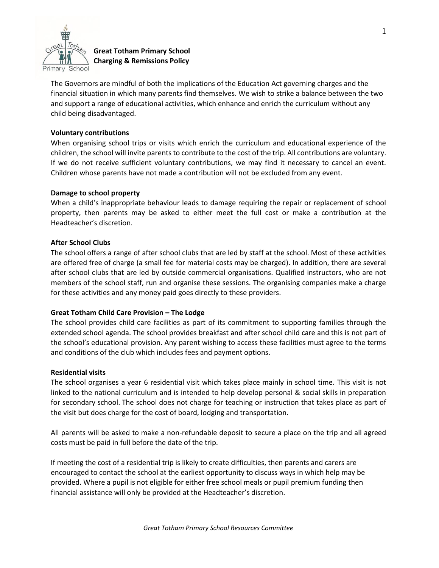

 **Great Totham Primary School Charging & Remissions Policy**

The Governors are mindful of both the implications of the Education Act governing charges and the financial situation in which many parents find themselves. We wish to strike a balance between the two and support a range of educational activities, which enhance and enrich the curriculum without any child being disadvantaged.

# **Voluntary contributions**

When organising school trips or visits which enrich the curriculum and educational experience of the children, the school will invite parents to contribute to the cost of the trip. All contributions are voluntary. If we do not receive sufficient voluntary contributions, we may find it necessary to cancel an event. Children whose parents have not made a contribution will not be excluded from any event.

## **Damage to school property**

When a child's inappropriate behaviour leads to damage requiring the repair or replacement of school property, then parents may be asked to either meet the full cost or make a contribution at the Headteacher's discretion.

# **After School Clubs**

The school offers a range of after school clubs that are led by staff at the school. Most of these activities are offered free of charge (a small fee for material costs may be charged). In addition, there are several after school clubs that are led by outside commercial organisations. Qualified instructors, who are not members of the school staff, run and organise these sessions. The organising companies make a charge for these activities and any money paid goes directly to these providers.

# **Great Totham Child Care Provision – The Lodge**

The school provides child care facilities as part of its commitment to supporting families through the extended school agenda. The school provides breakfast and after school child care and this is not part of the school's educational provision. Any parent wishing to access these facilities must agree to the terms and conditions of the club which includes fees and payment options.

### **Residential visits**

The school organises a year 6 residential visit which takes place mainly in school time. This visit is not linked to the national curriculum and is intended to help develop personal & social skills in preparation for secondary school. The school does not charge for teaching or instruction that takes place as part of the visit but does charge for the cost of board, lodging and transportation.

All parents will be asked to make a non-refundable deposit to secure a place on the trip and all agreed costs must be paid in full before the date of the trip.

If meeting the cost of a residential trip is likely to create difficulties, then parents and carers are encouraged to contact the school at the earliest opportunity to discuss ways in which help may be provided. Where a pupil is not eligible for either free school meals or pupil premium funding then financial assistance will only be provided at the Headteacher's discretion.